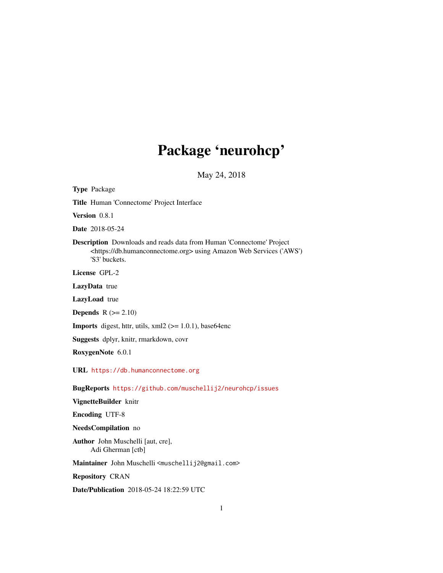# Package 'neurohcp'

May 24, 2018

<span id="page-0-0"></span>Type Package Title Human 'Connectome' Project Interface Version 0.8.1 Date 2018-05-24 Description Downloads and reads data from Human 'Connectome' Project <https://db.humanconnectome.org> using Amazon Web Services ('AWS') 'S3' buckets. License GPL-2 LazyData true LazyLoad true **Depends**  $R$  ( $>= 2.10$ ) **Imports** digest, httr, utils,  $xml2$  ( $>= 1.0.1$ ), base64enc Suggests dplyr, knitr, rmarkdown, covr RoxygenNote 6.0.1 URL <https://db.humanconnectome.org> BugReports <https://github.com/muschellij2/neurohcp/issues> VignetteBuilder knitr Encoding UTF-8 NeedsCompilation no Author John Muschelli [aut, cre], Adi Gherman [ctb] Maintainer John Muschelli <muschellij2@gmail.com> Repository CRAN

Date/Publication 2018-05-24 18:22:59 UTC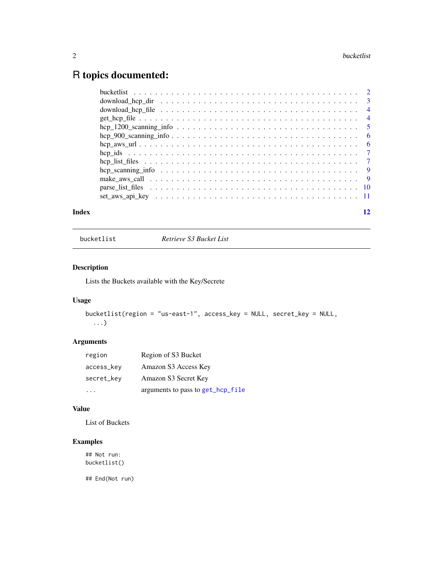# <span id="page-1-0"></span>R topics documented:

| Index | 12 |
|-------|----|

bucketlist *Retrieve S3 Bucket List*

# Description

Lists the Buckets available with the Key/Secrete

# Usage

```
bucketlist(region = "us-east-1", access_key = NULL, secret_key = NULL,
 ...)
```
# Arguments

| region     | Region of S3 Bucket               |
|------------|-----------------------------------|
| access_key | Amazon S3 Access Key              |
| secret_key | Amazon S3 Secret Key              |
|            | arguments to pass to get_hcp_file |

# Value

List of Buckets

# Examples

## Not run: bucketlist()

## End(Not run)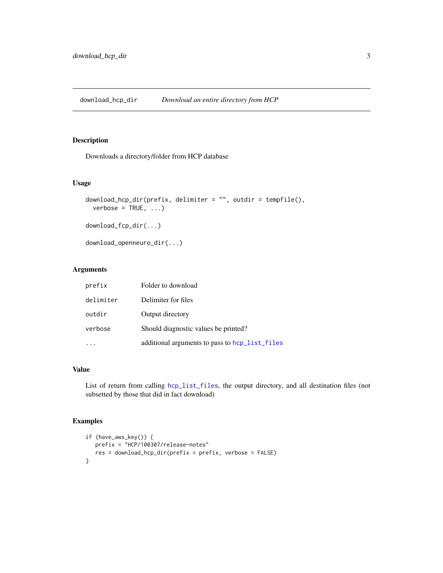# <span id="page-2-0"></span>Description

Downloads a directory/folder from HCP database

# Usage

```
download_hcp_dir(prefix, delimiter = "", outdir = tempfile(),
 verbose = TRUE, ...)download_fcp_dir(...)
```
download\_openneuro\_dir(...)

#### Arguments

| prefix    | Folder to download                             |
|-----------|------------------------------------------------|
| delimiter | Delimiter for files                            |
| outdir    | Output directory                               |
| verbose   | Should diagnostic values be printed?           |
|           | additional arguments to pass to hcp_list_files |

### Value

List of return from calling [hcp\\_list\\_files](#page-6-1), the output directory, and all destination files (not subsetted by those that did in fact download)

# Examples

```
if (have_aws_key()) {
  prefix = "HCP/100307/release-notes"
  res = download_hcp_dir(prefix = prefix, verbose = FALSE)
}
```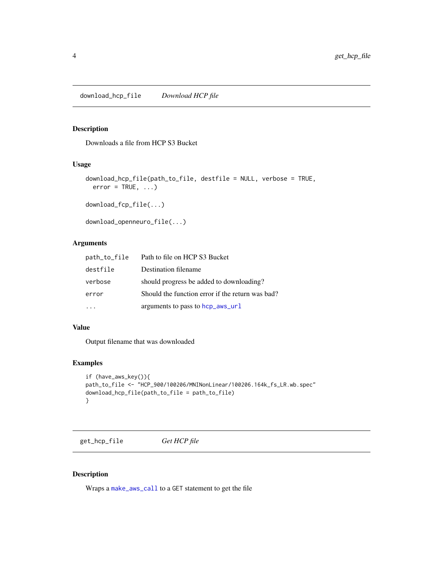<span id="page-3-0"></span>download\_hcp\_file *Download HCP file*

#### Description

Downloads a file from HCP S3 Bucket

#### Usage

```
download_hcp_file(path_to_file, destfile = NULL, verbose = TRUE,
 error = TRUE, ...)
```
download\_fcp\_file(...)

```
download_openneuro_file(...)
```
# Arguments

| path_to_file | Path to file on HCP S3 Bucket                    |
|--------------|--------------------------------------------------|
| destfile     | Destination filename                             |
| verbose      | should progress be added to downloading?         |
| error        | Should the function error if the return was bad? |
|              | arguments to pass to hcp_aws_url                 |

# Value

Output filename that was downloaded

# Examples

```
if (have_aws_key()){
path_to_file <- "HCP_900/100206/MNINonLinear/100206.164k_fs_LR.wb.spec"
download_hcp_file(path_to_file = path_to_file)
}
```
<span id="page-3-1"></span>get\_hcp\_file *Get HCP file*

# Description

Wraps a [make\\_aws\\_call](#page-8-1) to a GET statement to get the file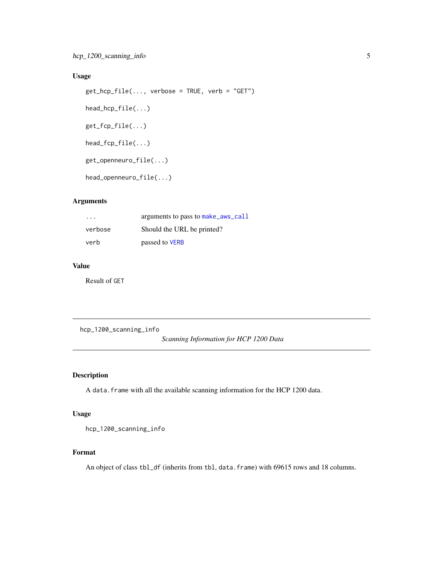# <span id="page-4-0"></span>Usage

```
get_hcp_file(..., verbose = TRUE, verb = "GET")
head_hcp_file(...)
get_fcp_file(...)
head_fcp_file(...)
get_openneuro_file(...)
head_openneuro_file(...)
```
# Arguments

| $\cdot$ $\cdot$ $\cdot$ | arguments to pass to make_aws_call |
|-------------------------|------------------------------------|
| verbose                 | Should the URL be printed?         |
| verb                    | passed to VERB                     |

# Value

Result of GET

hcp\_1200\_scanning\_info

# *Scanning Information for HCP 1200 Data*

# Description

A data. frame with all the available scanning information for the HCP 1200 data.

# Usage

```
hcp_1200_scanning_info
```
#### Format

An object of class tbl\_df (inherits from tbl, data.frame) with 69615 rows and 18 columns.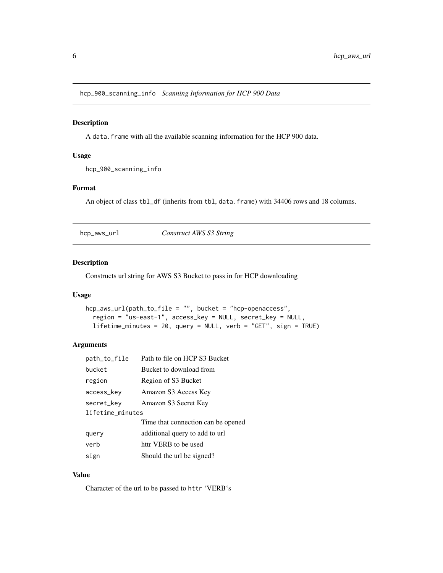<span id="page-5-0"></span>hcp\_900\_scanning\_info *Scanning Information for HCP 900 Data*

# Description

A data.frame with all the available scanning information for the HCP 900 data.

# Usage

hcp\_900\_scanning\_info

# Format

An object of class tbl\_df (inherits from tbl, data. frame) with 34406 rows and 18 columns.

<span id="page-5-1"></span>hcp\_aws\_url *Construct AWS S3 String*

# Description

Constructs url string for AWS S3 Bucket to pass in for HCP downloading

# Usage

```
hcp_aws_url(path_to_file = "", bucket = "hcp-openaccess",
  region = "us-east-1", access_key = NULL, secret_key = NULL,
  lifetime_minutes = 20, query = NULL, verb = "GET", sign = TRUE)
```
#### Arguments

| path_to_file     | Path to file on HCP S3 Bucket      |  |
|------------------|------------------------------------|--|
| bucket           | Bucket to download from            |  |
| region           | Region of S3 Bucket                |  |
| access_key       | Amazon S3 Access Key               |  |
| secret_key       | Amazon S3 Secret Key               |  |
| lifetime_minutes |                                    |  |
|                  | Time that connection can be opened |  |
| query            | additional query to add to url     |  |
| verb             | httr VERB to be used               |  |
| sign             | Should the url be signed?          |  |

# Value

Character of the url to be passed to httr 'VERB's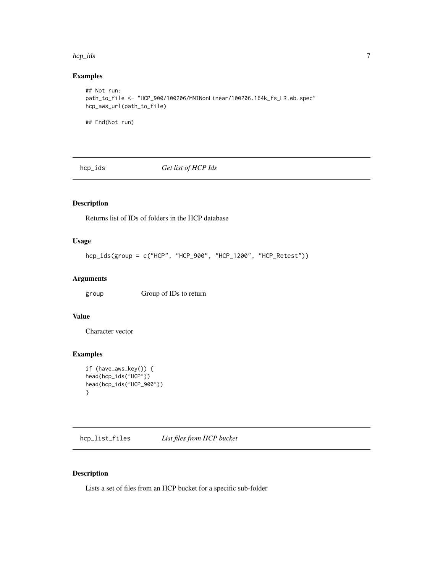#### <span id="page-6-0"></span>hcp\_ids 7

# Examples

```
## Not run:
path_to_file <- "HCP_900/100206/MNINonLinear/100206.164k_fs_LR.wb.spec"
hcp_aws_url(path_to_file)
## End(Not run)
```
hcp\_ids *Get list of HCP Ids*

# Description

Returns list of IDs of folders in the HCP database

#### Usage

```
hcp_ids(group = c("HCP", "HCP_900", "HCP_1200", "HCP_Retest"))
```
# Arguments

group Group of IDs to return

# Value

Character vector

# Examples

```
if (have_aws_key()) {
head(hcp_ids("HCP"))
head(hcp_ids("HCP_900"))
}
```
<span id="page-6-1"></span>hcp\_list\_files *List files from HCP bucket*

# Description

Lists a set of files from an HCP bucket for a specific sub-folder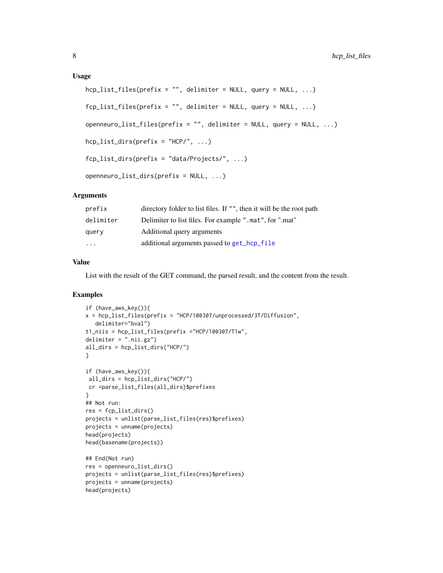#### <span id="page-7-0"></span>Usage

```
hop_list_files(prefix = "", delimiter = NULL, query = NULL, ...)fcp\_list\_files(prefix = "", delimiter = NULL, query = NULL, ...)openneuro_list_files(prefix = "", delimiter = NULL, query = NULL, ...)
hep_{{\text{list\_dirs}}(prefix = "HCP/", ...)}fcp_list_dirs(prefix = "data/Projects/", ...)
openneuro_list_dirs(prefix = NULL, ...)
```
# Arguments

| prefix                  | directory folder to list files. If "", then it will be the root path |
|-------------------------|----------------------------------------------------------------------|
| delimiter               | Delimiter to list files. For example ".mat", for ".mat"              |
| query                   | Additional query arguments                                           |
| $\cdot$ $\cdot$ $\cdot$ | additional arguments passed to get_hcp_file                          |

# Value

List with the result of the GET command, the parsed result, and the content from the result.

# Examples

```
if (have_aws_key()){
x = hcp_list_files(prefix = "HCP/100307/unprocessed/3T/Diffusion",
   delimiter="bval")
t1_niis = hcp_list_files(prefix ="HCP/100307/T1w",
delimiter = ".nii.gz")
all_dirs = hcp_list_dirs("HCP/")
}
if (have_aws_key()){
all_dirs = hcp_list_dirs("HCP/")
cr =parse_list_files(all_dirs)$prefixes
}
## Not run:
res = fcp_list_dirs()
projects = unlist(parse_list_files(res)$prefixes)
projects = unname(projects)
head(projects)
head(basename(projects))
## End(Not run)
res = openneuro_list_dirs()
projects = unlist(parse_list_files(res)$prefixes)
projects = unname(projects)
head(projects)
```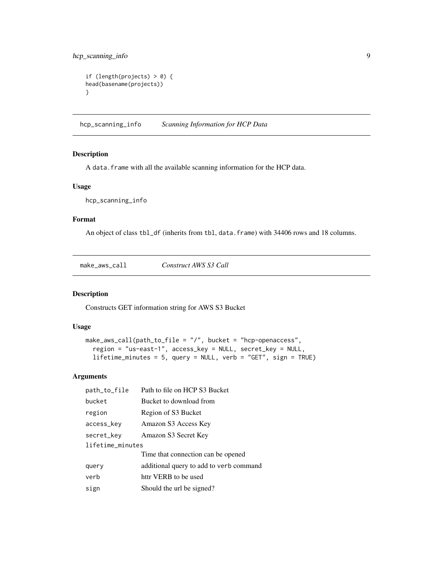# <span id="page-8-0"></span>hcp\_scanning\_info 9

```
if (length(projects) > 0) {
head(basename(projects))
}
```
hcp\_scanning\_info *Scanning Information for HCP Data*

#### Description

A data. frame with all the available scanning information for the HCP data.

### Usage

hcp\_scanning\_info

# Format

An object of class tbl\_df (inherits from tbl, data.frame) with 34406 rows and 18 columns.

<span id="page-8-1"></span>

| $make_$ | Construct AWS S3 Call |  |
|---------|-----------------------|--|
|---------|-----------------------|--|

# Description

Constructs GET information string for AWS S3 Bucket

# Usage

```
make_aws_call(path_to_file = "/", bucket = "hcp-openaccess",
  region = "us-east-1", access_key = NULL, secret_key = NULL,
  lifetime_minutes = 5, query = NULL, verb = "GET", sign = TRUE)
```
### Arguments

| path_to_file     | Path to file on HCP S3 Bucket           |  |
|------------------|-----------------------------------------|--|
| bucket           | Bucket to download from                 |  |
| region           | Region of S3 Bucket                     |  |
| access_key       | Amazon S3 Access Key                    |  |
| secret_key       | Amazon S3 Secret Key                    |  |
| lifetime_minutes |                                         |  |
|                  | Time that connection can be opened      |  |
| query            | additional query to add to verb command |  |
| verb             | httr VERB to be used                    |  |
| sign             | Should the url be signed?               |  |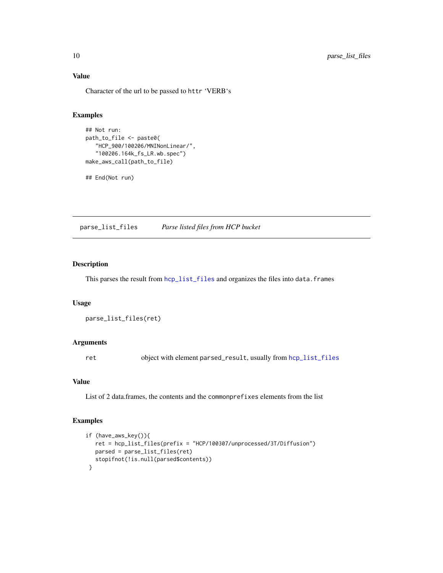# Value

Character of the url to be passed to httr 'VERB's

# Examples

```
## Not run:
path_to_file <- paste0(
   "HCP_900/100206/MNINonLinear/",
   "100206.164k_fs_LR.wb.spec")
make_aws_call(path_to_file)
```
## End(Not run)

parse\_list\_files *Parse listed files from HCP bucket*

# Description

This parses the result from [hcp\\_list\\_files](#page-6-1) and organizes the files into data.frames

#### Usage

```
parse_list_files(ret)
```
# Arguments

ret object with element parsed\_result, usually from [hcp\\_list\\_files](#page-6-1)

# Value

List of 2 data.frames, the contents and the commonprefixes elements from the list

# Examples

```
if (have_aws_key()){
  ret = hcp_list_files(prefix = "HCP/100307/unprocessed/3T/Diffusion")
  parsed = parse_list_files(ret)
  stopifnot(!is.null(parsed$contents))
}
```
<span id="page-9-0"></span>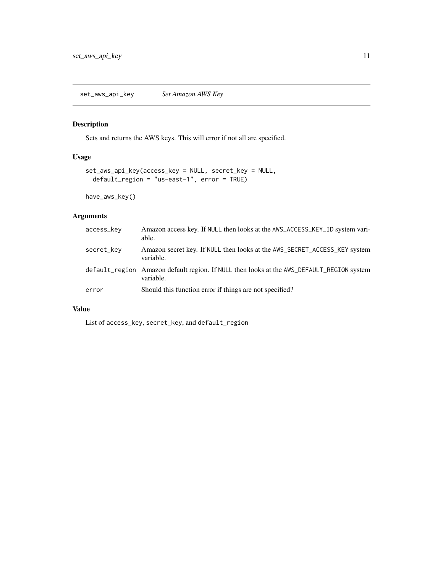# <span id="page-10-0"></span>Description

Sets and returns the AWS keys. This will error if not all are specified.

# Usage

```
set_aws_api_key(access_key = NULL, secret_key = NULL,
 default_region = "us-east-1", error = TRUE)
```
have\_aws\_key()

# Arguments

| access_key | Amazon access key. If NULL then looks at the AWS_ACCESS_KEY_ID system vari-<br>able.                   |
|------------|--------------------------------------------------------------------------------------------------------|
| secret_key | Amazon secret key. If NULL then looks at the AWS_SECRET_ACCESS_KEY system<br>variable.                 |
|            | default_region Amazon default region. If NULL then looks at the AWS_DEFAULT_REGION system<br>variable. |
| error      | Should this function error if things are not specified?                                                |

# Value

List of access\_key, secret\_key, and default\_region